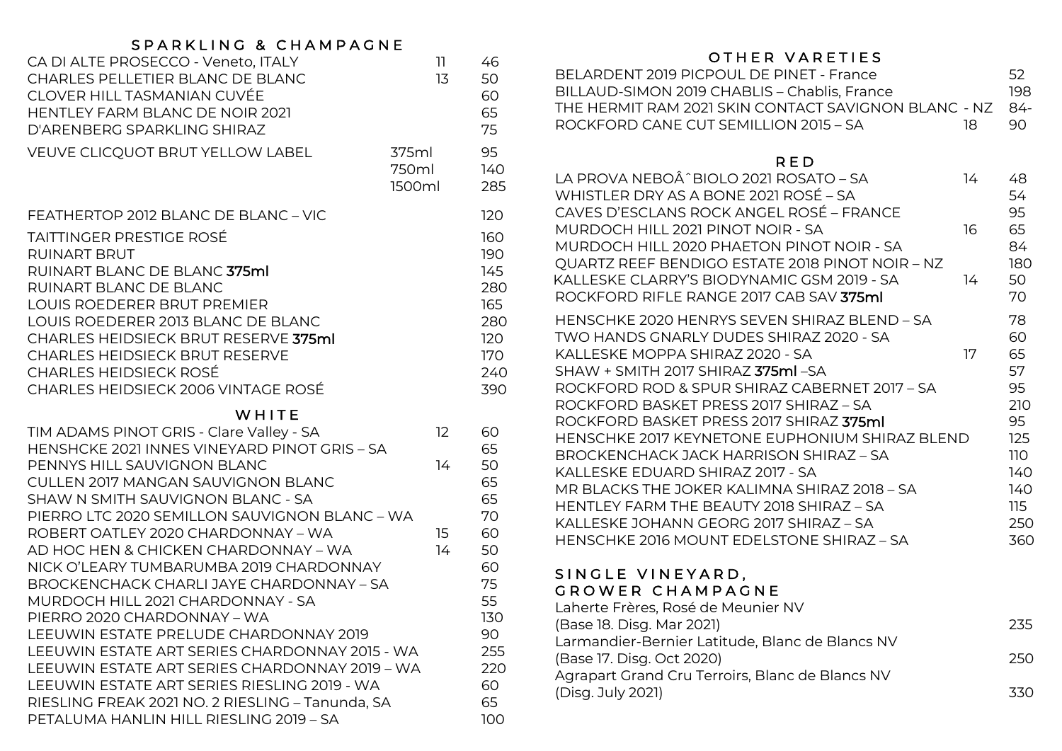## SPARKLING & CHAMPAGNE

| CA DI ALTE PROSECCO - Veneto, ITALY<br>CHARLES PELLETIER BLANC DE BLANC<br>CLOVER HILL TASMANIAN CUVÉE<br><b>HENTLEY FARM BLANC DE NOIR 2021</b><br>D'ARENBERG SPARKLING SHIRAZ                                                                                                                                                                                                               | 11<br>13                 | 46<br>50<br>60<br>65<br>75                                                |
|-----------------------------------------------------------------------------------------------------------------------------------------------------------------------------------------------------------------------------------------------------------------------------------------------------------------------------------------------------------------------------------------------|--------------------------|---------------------------------------------------------------------------|
| <b>VEUVE CLICQUOT BRUT YELLOW LABEL</b>                                                                                                                                                                                                                                                                                                                                                       | 375ml<br>750ml<br>1500ml | 95<br>140<br>285                                                          |
| FEATHERTOP 2012 BLANC DE BLANC - VIC<br><b>TAITTINGER PRESTIGE ROSÉ</b><br><b>RUINART BRUT</b><br>RUINART BLANC DE BLANC 375ml<br>RUINART BLANC DE BLANC<br>LOUIS ROEDERER BRUT PREMIER<br>LOUIS ROEDERER 2013 BLANC DE BLANC<br><b>CHARLES HEIDSIECK BRUT RESERVE 375ml</b><br><b>CHARLES HEIDSIECK BRUT RESERVE</b><br><b>CHARLES HEIDSIECK ROSÉ</b><br>CHARLES HEIDSIECK 2006 VINTAGE ROSÉ |                          | 120<br>160<br>190<br>145<br>280<br>165<br>280<br>120<br>170<br>240<br>390 |
| WHITE                                                                                                                                                                                                                                                                                                                                                                                         |                          |                                                                           |
| TIM ADAMS PINOT GRIS - Clare Valley - SA<br>HENSHCKE 2021 INNES VINEYARD PINOT GRIS - SA                                                                                                                                                                                                                                                                                                      | 12                       | 60<br>65                                                                  |
| PENNYS HILL SAUVIGNON BLANC<br><b>CULLEN 2017 MANGAN SAUVIGNON BLANC</b>                                                                                                                                                                                                                                                                                                                      | 14                       | 50<br>65                                                                  |
| SHAW N SMITH SAUVIGNON BLANC - SA                                                                                                                                                                                                                                                                                                                                                             |                          | 65                                                                        |
| PIERRO LTC 2020 SEMILLON SAUVIGNON BLANC - WA<br>ROBERT OATLEY 2020 CHARDONNAY - WA<br>AD HOC HEN & CHICKEN CHARDONNAY - WA<br>NICK O'LEARY TUMBARUMBA 2019 CHARDONNAY<br>BROCKENCHACK CHARLI JAYE CHARDONNAY - SA<br>MURDOCH HILL 2021 CHARDONNAY - SA<br>PIERRO 2020 CHARDONNAY - WA<br>LEEUWIN ESTATE PRELUDE CHARDONNAY 2019                                                              | 15<br>14                 | 70<br>60<br>50<br>60<br>75<br>55<br>130<br>90                             |
| LEEUWIN ESTATE ART SERIES CHARDONNAY 2015 - WA<br>LEEUWIN ESTATE ART SERIES CHARDONNAY 2019 - WA<br>LEEUWIN ESTATE ART SERIES RIESLING 2019 - WA<br>RIESLING FREAK 2021 NO. 2 RIESLING - Tanunda, SA<br>PETALUMA HANLIN HILL RIESLING 2019 - SA                                                                                                                                               |                          | 255<br>220<br>60<br>65<br>100                                             |

## OTHER VARETIES

| BELARDENT 2019 PICPOUL DE PINET - France                   |     | 52   |
|------------------------------------------------------------|-----|------|
| BILLAUD-SIMON 2019 CHABLIS – Chablis, France               |     | 198. |
| THE HERMIT RAM 2021 SKIN CONTACT SAVIGNON BLANC - NZ - 84- |     |      |
| ROCKFORD CANF CUT SEMILLION 2015 – SA                      | 18. | -90. |

#### RED

| LA PROVA NEBOÂ^BIOLO 2021 ROSATO - SA<br>WHISTLER DRY AS A BONE 2021 ROSÉ - SA<br>CAVES D'ESCLANS ROCK ANGEL ROSÉ – FRANCE               | 14 | 48<br>54<br>95  |
|------------------------------------------------------------------------------------------------------------------------------------------|----|-----------------|
| MURDOCH HILL 2021 PINOT NOIR - SA<br>MURDOCH HILL 2020 PHAETON PINOT NOIR - SA<br><b>QUARTZ REEF BENDIGO ESTATE 2018 PINOT NOIR - NZ</b> | 16 | 65<br>84<br>180 |
| KALLESKE CLARRY'S BIODYNAMIC GSM 2019 - SA<br>ROCKFORD RIFLE RANGE 2017 CAB SAV <b>375ml</b>                                             | 14 | 50<br>70        |
| HENSCHKE 2020 HENRYS SEVEN SHIRAZ BLEND - SA<br>TWO HANDS GNARLY DUDES SHIRAZ 2020 - SA                                                  |    | 78<br>60        |
| KALI FSKF MOPPA SHIRAZ 2020 - SA                                                                                                         | 17 | 65              |
| SHAW + SMITH 2017 SHIRAZ 375ml - SA                                                                                                      |    | 57              |
| ROCKFORD ROD & SPUR SHIRAZ CABERNET 2017 - SA                                                                                            |    | 95              |
| ROCKFORD BASKET PRESS 2017 SHIRAZ – SA                                                                                                   |    | 210             |
| ROCKFORD BASKET PRESS 2017 SHIRAZ 375ml                                                                                                  |    | 95              |
| HENSCHKE 2017 KEYNETONE EUPHONIUM SHIRAZ BLEND                                                                                           |    | 125             |
| BROCKENCHACK JACK HARRISON SHIRAZ – SA                                                                                                   |    | 110             |
| KALLESKE EDUARD SHIRAZ 2017 - SA                                                                                                         |    | 140             |
| MR BLACKS THE JOKER KALIMNA SHIRAZ 2018 - SA                                                                                             |    | 140             |
| HENTI FY FARM THE BEAUTY 2018 SHIRAZ – SA                                                                                                |    | 115             |
| KALLESKE JOHANN GEORG 2017 SHIRAZ – SA<br>HENSCHKE 2016 MOUNT EDELSTONE SHIRAZ - SA                                                      |    | 250<br>360      |
|                                                                                                                                          |    |                 |
|                                                                                                                                          |    |                 |

#### SINGLE VINEYARD, GROWER CHAMPAGNE

| Laherte Frères, Rosé de Meunier NV              |     |
|-------------------------------------------------|-----|
| (Base 18. Disg. Mar 2021)                       | 235 |
| Larmandier-Bernier Latitude, Blanc de Blancs NV |     |
| (Base 17. Disg. Oct 2020)                       | 250 |
| Agrapart Grand Cru Terroirs, Blanc de Blancs NV |     |
| (Disg. July 2021)                               | 330 |